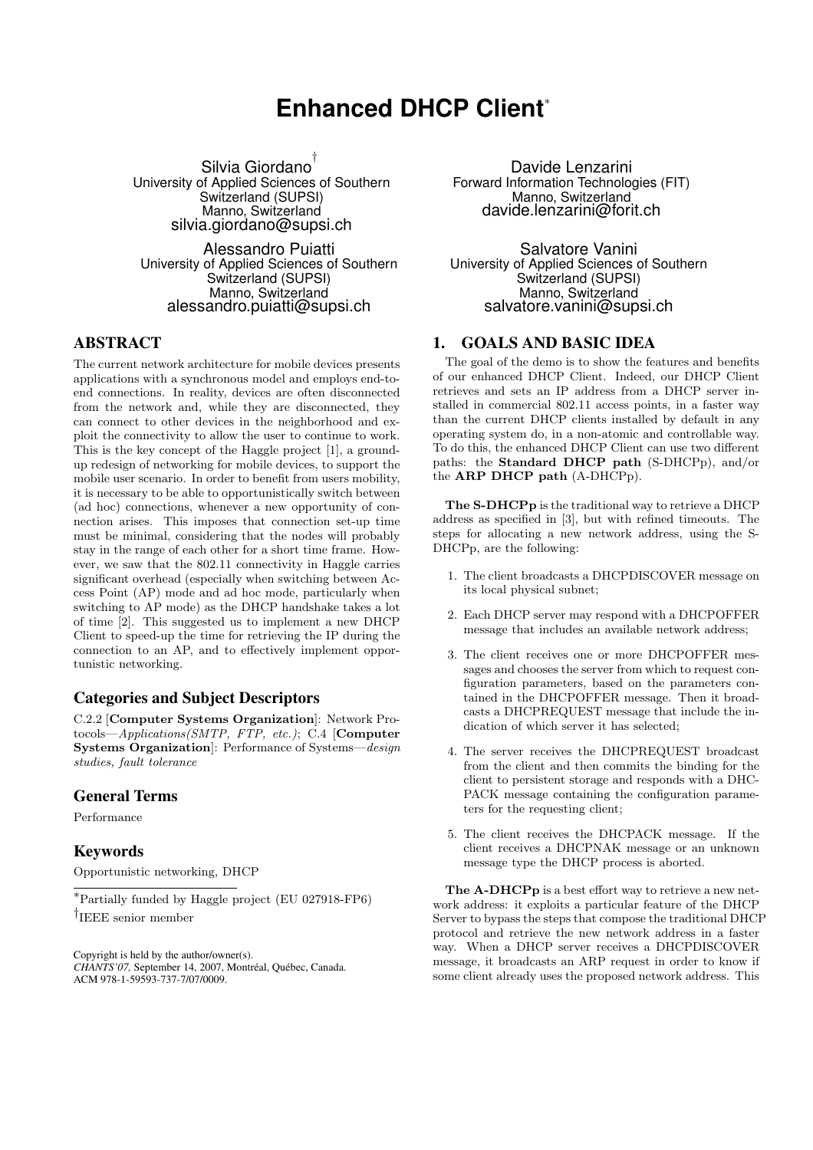# **Enhanced DHCP Client**<sup>∗</sup>

Silvia Giordano † University of Applied Sciences of Southern Switzerland (SUPSI) Manno, Switzerland silvia.giordano@supsi.ch

Alessandro Puiatti University of Applied Sciences of Southern Switzerland (SUPSI) Manno, Switzerland alessandro.puiatti@supsi.ch

## ABSTRACT

The current network architecture for mobile devices presents applications with a synchronous model and employs end-toend connections. In reality, devices are often disconnected from the network and, while they are disconnected, they can connect to other devices in the neighborhood and exploit the connectivity to allow the user to continue to work. This is the key concept of the Haggle project [1], a groundup redesign of networking for mobile devices, to support the mobile user scenario. In order to benefit from users mobility, it is necessary to be able to opportunistically switch between (ad hoc) connections, whenever a new opportunity of connection arises. This imposes that connection set-up time must be minimal, considering that the nodes will probably stay in the range of each other for a short time frame. However, we saw that the 802.11 connectivity in Haggle carries significant overhead (especially when switching between Access Point (AP) mode and ad hoc mode, particularly when switching to AP mode) as the DHCP handshake takes a lot of time [2]. This suggested us to implement a new DHCP Client to speed-up the time for retrieving the IP during the connection to an AP, and to effectively implement opportunistic networking.

# Categories and Subject Descriptors

C.2.2 [Computer Systems Organization]: Network Protocols—Applications(SMTP, FTP, etc.); C.4 [Computer Systems Organization]: Performance of Systems—design studies, fault tolerance

## General Terms

Performance

## Keywords

Opportunistic networking, DHCP

<sup>∗</sup>Partially funded by Haggle project (EU 027918-FP6) † IEEE senior member

Copyright is held by the author/owner(s). *CHANTS'07,* September 14, 2007, Montréal, Québec, Canada. ACM 978-1-59593-737-7/07/0009.

Davide Lenzarini Forward Information Technologies (FIT) Manno, Switzerland davide.lenzarini@forit.ch

Salvatore Vanini University of Applied Sciences of Southern Switzerland (SUPSI) Manno, Switzerland salvatore.vanini@supsi.ch

#### 1. GOALS AND BASIC IDEA

The goal of the demo is to show the features and benefits of our enhanced DHCP Client. Indeed, our DHCP Client retrieves and sets an IP address from a DHCP server installed in commercial 802.11 access points, in a faster way than the current DHCP clients installed by default in any operating system do, in a non-atomic and controllable way. To do this, the enhanced DHCP Client can use two different paths: the Standard DHCP path (S-DHCPp), and/or the ARP DHCP path (A-DHCPp).

The S-DHCPp is the traditional way to retrieve a DHCP address as specified in [3], but with refined timeouts. The steps for allocating a new network address, using the S-DHCPp, are the following:

- 1. The client broadcasts a DHCPDISCOVER message on its local physical subnet;
- 2. Each DHCP server may respond with a DHCPOFFER message that includes an available network address;
- 3. The client receives one or more DHCPOFFER messages and chooses the server from which to request configuration parameters, based on the parameters contained in the DHCPOFFER message. Then it broadcasts a DHCPREQUEST message that include the indication of which server it has selected;
- 4. The server receives the DHCPREQUEST broadcast from the client and then commits the binding for the client to persistent storage and responds with a DHC-PACK message containing the configuration parameters for the requesting client;
- 5. The client receives the DHCPACK message. If the client receives a DHCPNAK message or an unknown message type the DHCP process is aborted.

The A-DHCPp is a best effort way to retrieve a new network address: it exploits a particular feature of the DHCP Server to bypass the steps that compose the traditional DHCP protocol and retrieve the new network address in a faster way. When a DHCP server receives a DHCPDISCOVER message, it broadcasts an ARP request in order to know if some client already uses the proposed network address. This